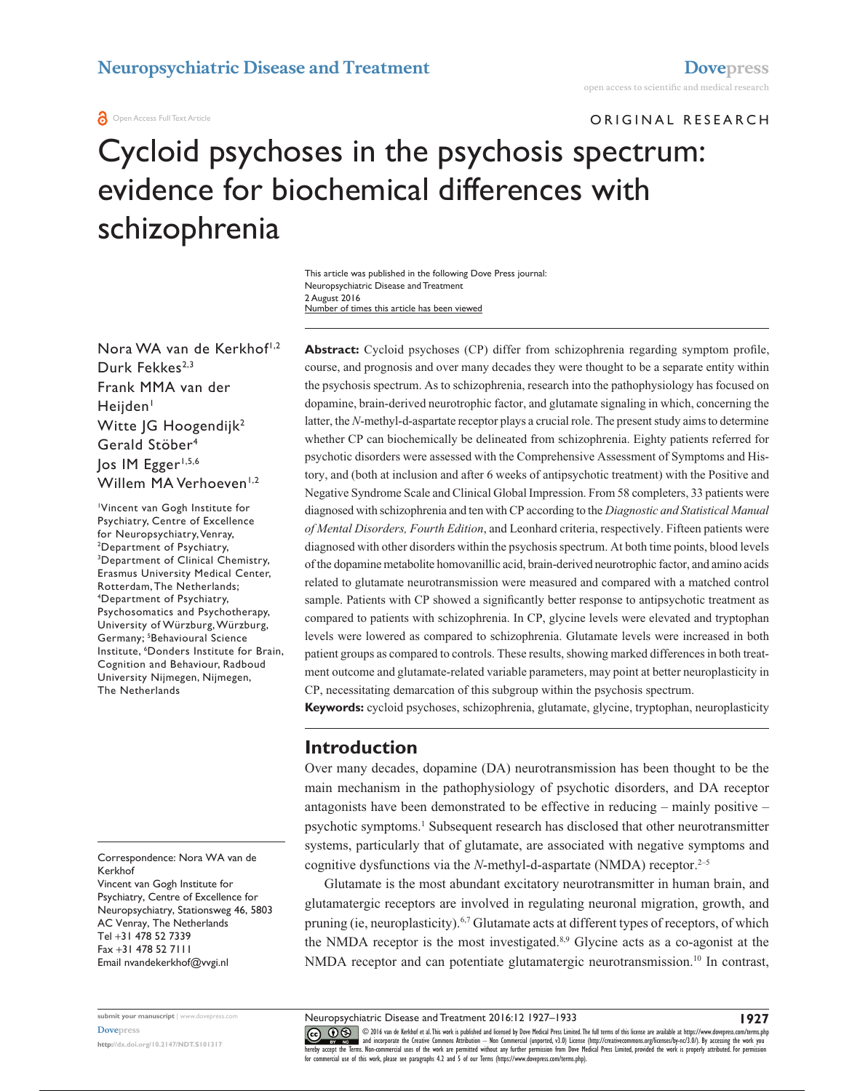#### **a** Open Access Full Text Article

ORIGINAL RESEARCH

# Cycloid psychoses in the psychosis spectrum: evidence for biochemical differences with schizophrenia

Number of times this article has been viewed This article was published in the following Dove Press journal: Neuropsychiatric Disease and Treatment 2 August 2016

Nora WA van de Kerkhof<sup>1,2</sup> Durk Fekkes<sup>2,3</sup> Frank MMA van der Heijden<sup>1</sup> Witte JG Hoogendijk<sup>2</sup> Gerald Stöber4 los IM Egger<sup>1,5,6</sup> Willem MA Verhoeven<sup>1,2</sup>

1 Vincent van Gogh Institute for Psychiatry, Centre of Excellence for Neuropsychiatry, Venray, 2 Department of Psychiatry, 3 Department of Clinical Chemistry, Erasmus University Medical Center, Rotterdam, The Netherlands; 4 Department of Psychiatry, Psychosomatics and Psychotherapy, University of Würzburg, Würzburg, Germany; 5 Behavioural Science Institute, <sup>6</sup>Donders Institute for Brain, Cognition and Behaviour, Radboud University Nijmegen, Nijmegen, The Netherlands

Correspondence: Nora WA van de Kerkhof Vincent van Gogh Institute for Psychiatry, Centre of Excellence for Neuropsychiatry, Stationsweg 46, 5803 AC Venray, The Netherlands Tel +31 478 52 7339 Fax +31 478 52 7111 Email [nvandekerkhof@vvgi.nl](mailto:nvandekerkhof@vvgi.nl)

**submit your manuscript** | <www.dovepress.com> **[Dovepress](www.dovepress.com)**

**<http://dx.doi.org/10.2147/NDT.S101317>**

**Abstract:** Cycloid psychoses (CP) differ from schizophrenia regarding symptom profile, course, and prognosis and over many decades they were thought to be a separate entity within the psychosis spectrum. As to schizophrenia, research into the pathophysiology has focused on dopamine, brain-derived neurotrophic factor, and glutamate signaling in which, concerning the latter, the *N*-methyl-d-aspartate receptor plays a crucial role. The present study aims to determine whether CP can biochemically be delineated from schizophrenia. Eighty patients referred for psychotic disorders were assessed with the Comprehensive Assessment of Symptoms and History, and (both at inclusion and after 6 weeks of antipsychotic treatment) with the Positive and Negative Syndrome Scale and Clinical Global Impression. From 58 completers, 33 patients were diagnosed with schizophrenia and ten with CP according to the *Diagnostic and Statistical Manual of Mental Disorders, Fourth Edition*, and Leonhard criteria, respectively. Fifteen patients were diagnosed with other disorders within the psychosis spectrum. At both time points, blood levels of the dopamine metabolite homovanillic acid, brain-derived neurotrophic factor, and amino acids related to glutamate neurotransmission were measured and compared with a matched control sample. Patients with CP showed a significantly better response to antipsychotic treatment as compared to patients with schizophrenia. In CP, glycine levels were elevated and tryptophan levels were lowered as compared to schizophrenia. Glutamate levels were increased in both patient groups as compared to controls. These results, showing marked differences in both treatment outcome and glutamate-related variable parameters, may point at better neuroplasticity in CP, necessitating demarcation of this subgroup within the psychosis spectrum.

**Keywords:** cycloid psychoses, schizophrenia, glutamate, glycine, tryptophan, neuroplasticity

#### **Introduction**

Over many decades, dopamine (DA) neurotransmission has been thought to be the main mechanism in the pathophysiology of psychotic disorders, and DA receptor antagonists have been demonstrated to be effective in reducing – mainly positive – psychotic symptoms.1 Subsequent research has disclosed that other neurotransmitter systems, particularly that of glutamate, are associated with negative symptoms and cognitive dysfunctions via the *N*-methyl-d-aspartate (NMDA) receptor.<sup>2–5</sup>

Glutamate is the most abundant excitatory neurotransmitter in human brain, and glutamatergic receptors are involved in regulating neuronal migration, growth, and pruning (ie, neuroplasticity).<sup>6,7</sup> Glutamate acts at different types of receptors, of which the NMDA receptor is the most investigated.<sup>8,9</sup> Glycine acts as a co-agonist at the NMDA receptor and can potentiate glutamatergic neurotransmission.<sup>10</sup> In contrast,

Neuropsychiatric Disease and Treatment 2016:12 1927–1933

**1927**

CCC 0 9016 van de Kerkhof et al. This work is published and licensed by Dove Medical Press Limited. The full terms of this license are available at<https://www.dovepress.com/terms.php><br>[hereby accept the Terms](http://www.dovepress.com/permissions.php). Non-commercia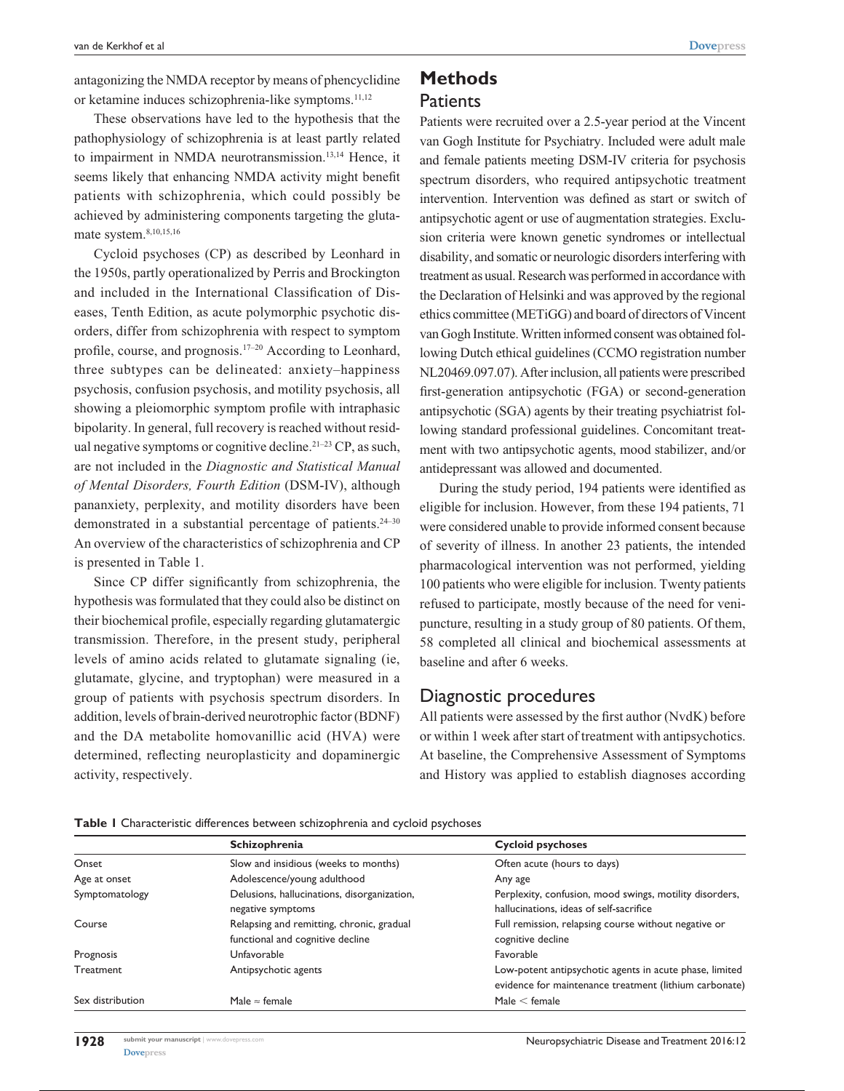antagonizing the NMDA receptor by means of phencyclidine or ketamine induces schizophrenia-like symptoms.<sup>11,12</sup>

These observations have led to the hypothesis that the pathophysiology of schizophrenia is at least partly related to impairment in NMDA neurotransmission.<sup>13,14</sup> Hence, it seems likely that enhancing NMDA activity might benefit patients with schizophrenia, which could possibly be achieved by administering components targeting the glutamate system.8,10,15,16

Cycloid psychoses (CP) as described by Leonhard in the 1950s, partly operationalized by Perris and Brockington and included in the International Classification of Diseases, Tenth Edition, as acute polymorphic psychotic disorders, differ from schizophrenia with respect to symptom profile, course, and prognosis.17–20 According to Leonhard, three subtypes can be delineated: anxiety–happiness psychosis, confusion psychosis, and motility psychosis, all showing a pleiomorphic symptom profile with intraphasic bipolarity. In general, full recovery is reached without residual negative symptoms or cognitive decline.<sup>21-23</sup> CP, as such, are not included in the *Diagnostic and Statistical Manual of Mental Disorders, Fourth Edition* (DSM-IV), although pananxiety, perplexity, and motility disorders have been demonstrated in a substantial percentage of patients.<sup>24-30</sup> An overview of the characteristics of schizophrenia and CP is presented in Table 1.

Since CP differ significantly from schizophrenia, the hypothesis was formulated that they could also be distinct on their biochemical profile, especially regarding glutamatergic transmission. Therefore, in the present study, peripheral levels of amino acids related to glutamate signaling (ie, glutamate, glycine, and tryptophan) were measured in a group of patients with psychosis spectrum disorders. In addition, levels of brain-derived neurotrophic factor (BDNF) and the DA metabolite homovanillic acid (HVA) were determined, reflecting neuroplasticity and dopaminergic activity, respectively.

## **Methods Patients**

Patients were recruited over a 2.5-year period at the Vincent van Gogh Institute for Psychiatry. Included were adult male and female patients meeting DSM-IV criteria for psychosis spectrum disorders, who required antipsychotic treatment intervention. Intervention was defined as start or switch of antipsychotic agent or use of augmentation strategies. Exclusion criteria were known genetic syndromes or intellectual disability, and somatic or neurologic disorders interfering with treatment as usual. Research was performed in accordance with the Declaration of Helsinki and was approved by the regional ethics committee (METiGG) and board of directors of Vincent van Gogh Institute. Written informed consent was obtained following Dutch ethical guidelines (CCMO registration number NL20469.097.07). After inclusion, all patients were prescribed first-generation antipsychotic (FGA) or second-generation antipsychotic (SGA) agents by their treating psychiatrist following standard professional guidelines. Concomitant treatment with two antipsychotic agents, mood stabilizer, and/or antidepressant was allowed and documented.

During the study period, 194 patients were identified as eligible for inclusion. However, from these 194 patients, 71 were considered unable to provide informed consent because of severity of illness. In another 23 patients, the intended pharmacological intervention was not performed, yielding 100 patients who were eligible for inclusion. Twenty patients refused to participate, mostly because of the need for venipuncture, resulting in a study group of 80 patients. Of them, 58 completed all clinical and biochemical assessments at baseline and after 6 weeks.

## Diagnostic procedures

All patients were assessed by the first author (NvdK) before or within 1 week after start of treatment with antipsychotics. At baseline, the Comprehensive Assessment of Symptoms and History was applied to establish diagnoses according

**Table 1** Characteristic differences between schizophrenia and cycloid psychoses

|                  | Schizophrenia                               | <b>Cycloid psychoses</b>                                |
|------------------|---------------------------------------------|---------------------------------------------------------|
| Onset            | Slow and insidious (weeks to months)        | Often acute (hours to days)                             |
| Age at onset     | Adolescence/young adulthood                 | Any age                                                 |
| Symptomatology   | Delusions, hallucinations, disorganization, | Perplexity, confusion, mood swings, motility disorders, |
|                  | negative symptoms                           | hallucinations, ideas of self-sacrifice                 |
| Course           | Relapsing and remitting, chronic, gradual   | Full remission, relapsing course without negative or    |
|                  | functional and cognitive decline            | cognitive decline                                       |
| Prognosis        | Unfavorable                                 | Favorable                                               |
| <b>Treatment</b> | Antipsychotic agents                        | Low-potent antipsychotic agents in acute phase, limited |
|                  |                                             | evidence for maintenance treatment (lithium carbonate)  |
| Sex distribution | Male $\approx$ female                       | $Male <$ female                                         |

**1928**

**[Dovepress](www.dovepress.com)**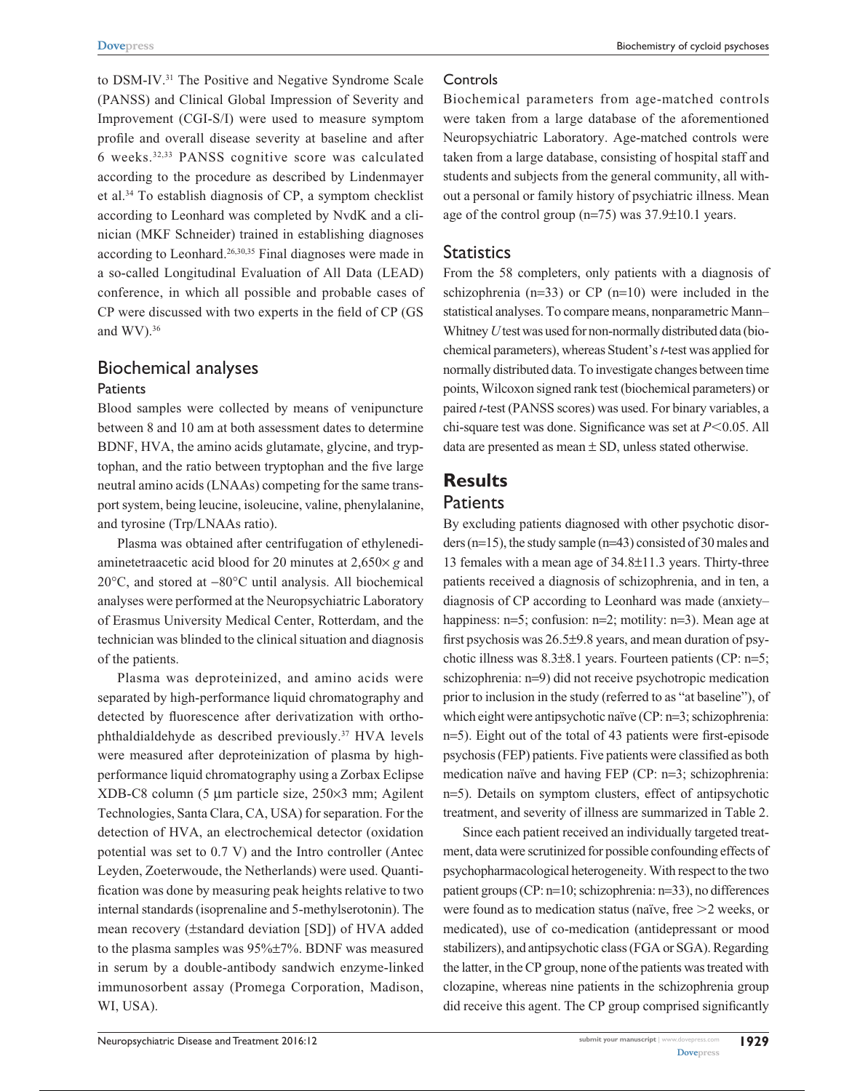Biochemistry of cycloid psychoses

to DSM-IV.31 The Positive and Negative Syndrome Scale (PANSS) and Clinical Global Impression of Severity and Improvement (CGI-S/I) were used to measure symptom profile and overall disease severity at baseline and after 6 weeks.32,33 PANSS cognitive score was calculated according to the procedure as described by Lindenmayer et al.34 To establish diagnosis of CP, a symptom checklist according to Leonhard was completed by NvdK and a clinician (MKF Schneider) trained in establishing diagnoses according to Leonhard.26,30,35 Final diagnoses were made in a so-called Longitudinal Evaluation of All Data (LEAD) conference, in which all possible and probable cases of CP were discussed with two experts in the field of CP (GS and WV).36

## Biochemical analyses

#### **Patients**

Blood samples were collected by means of venipuncture between 8 and 10 am at both assessment dates to determine BDNF, HVA, the amino acids glutamate, glycine, and tryptophan, and the ratio between tryptophan and the five large neutral amino acids (LNAAs) competing for the same transport system, being leucine, isoleucine, valine, phenylalanine, and tyrosine (Trp/LNAAs ratio).

Plasma was obtained after centrifugation of ethylenediaminetetraacetic acid blood for 20 minutes at 2,650× *g* and  $20^{\circ}$ C, and stored at  $-80^{\circ}$ C until analysis. All biochemical analyses were performed at the Neuropsychiatric Laboratory of Erasmus University Medical Center, Rotterdam, and the technician was blinded to the clinical situation and diagnosis of the patients.

Plasma was deproteinized, and amino acids were separated by high-performance liquid chromatography and detected by fluorescence after derivatization with orthophthaldialdehyde as described previously.37 HVA levels were measured after deproteinization of plasma by highperformance liquid chromatography using a Zorbax Eclipse XDB-C8 column (5 μm particle size, 250×3 mm; Agilent Technologies, Santa Clara, CA, USA) for separation. For the detection of HVA, an electrochemical detector (oxidation potential was set to 0.7 V) and the Intro controller (Antec Leyden, Zoeterwoude, the Netherlands) were used. Quantification was done by measuring peak heights relative to two internal standards (isoprenaline and 5-methylserotonin). The mean recovery (±standard deviation [SD]) of HVA added to the plasma samples was 95%±7%. BDNF was measured in serum by a double-antibody sandwich enzyme-linked immunosorbent assay (Promega Corporation, Madison, WI, USA).

#### **Controls**

Biochemical parameters from age-matched controls were taken from a large database of the aforementioned Neuropsychiatric Laboratory. Age-matched controls were taken from a large database, consisting of hospital staff and students and subjects from the general community, all without a personal or family history of psychiatric illness. Mean age of the control group (n=75) was 37.9±10.1 years.

## **Statistics**

From the 58 completers, only patients with a diagnosis of schizophrenia ( $n=33$ ) or CP ( $n=10$ ) were included in the statistical analyses. To compare means, nonparametric Mann– Whitney *U* test was used for non-normally distributed data (biochemical parameters), whereas Student's *t*-test was applied for normally distributed data. To investigate changes between time points, Wilcoxon signed rank test (biochemical parameters) or paired *t*-test (PANSS scores) was used. For binary variables, a chi-square test was done. Significance was set at *P*<0.05. All data are presented as mean  $\pm$  SD, unless stated otherwise.

# **Results Patients**

By excluding patients diagnosed with other psychotic disorders (n=15), the study sample (n=43) consisted of 30males and 13 females with a mean age of 34.8±11.3 years. Thirty-three patients received a diagnosis of schizophrenia, and in ten, a diagnosis of CP according to Leonhard was made (anxiety– happiness: n=5; confusion: n=2; motility: n=3). Mean age at first psychosis was 26.5±9.8 years, and mean duration of psychotic illness was 8.3±8.1 years. Fourteen patients (CP: n=5; schizophrenia: n=9) did not receive psychotropic medication prior to inclusion in the study (referred to as "at baseline"), of which eight were antipsychotic naïve (CP: n=3; schizophrenia: n=5). Eight out of the total of 43 patients were first-episode psychosis (FEP) patients. Five patients were classified as both medication naïve and having FEP (CP: n=3; schizophrenia: n=5). Details on symptom clusters, effect of antipsychotic treatment, and severity of illness are summarized in Table 2.

Since each patient received an individually targeted treatment, data were scrutinized for possible confounding effects of psychopharmacological heterogeneity. With respect to the two patient groups (CP: n=10; schizophrenia: n=33), no differences were found as to medication status (naïve, free  $>2$  weeks, or medicated), use of co-medication (antidepressant or mood stabilizers), and antipsychotic class (FGA or SGA). Regarding the latter, in the CP group, none of the patients was treated with clozapine, whereas nine patients in the schizophrenia group did receive this agent. The CP group comprised significantly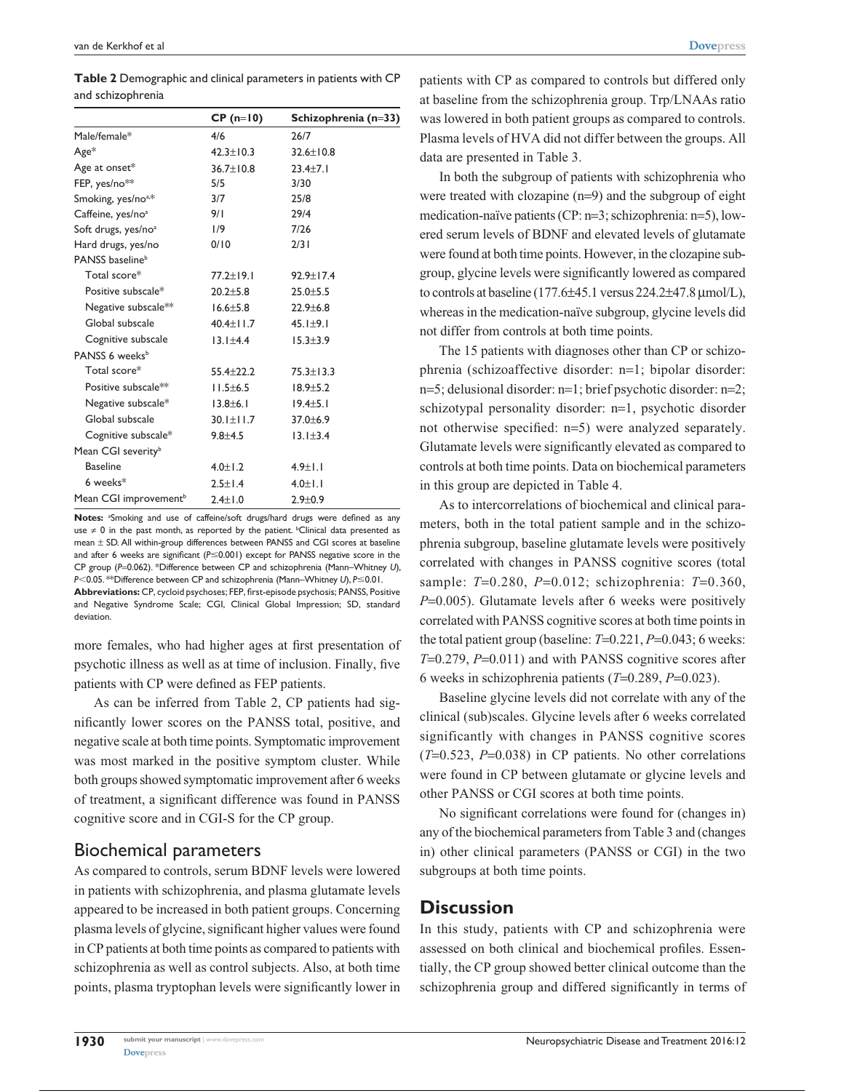**Table 2** Demographic and clinical parameters in patients with CP and schizophrenia

|                                   | $CP(n=10)$      | Schizophrenia (n=33) |
|-----------------------------------|-----------------|----------------------|
| Male/female*                      | 4/6             | 26/7                 |
| $Age*$                            | $42.3 \pm 10.3$ | $32.6 \pm 10.8$      |
| Age at onset*                     | $36.7 \pm 10.8$ | $23.4 + 7.1$         |
| FEP, yes/no**                     | 5/5             | 3/30                 |
| Smoking, yes/no <sup>a,*</sup>    | 3/7             | 25/8                 |
| Caffeine, yes/no <sup>a</sup>     | 9/1             | 29/4                 |
| Soft drugs, yes/no <sup>a</sup>   | 1/9             | 7/26                 |
| Hard drugs, yes/no                | 0/10            | 2/31                 |
| PANSS baseline <sup>b</sup>       |                 |                      |
| Total score*                      | $77.2 + 19.1$   | $92.9 \pm 17.4$      |
| Positive subscale*                | $20.2 + 5.8$    | $25.0 + 5.5$         |
| Negative subscale**               | $16.6 \pm 5.8$  | $22.9 \pm 6.8$       |
| Global subscale                   | $40.4 \pm 11.7$ | $45.1 \pm 9.1$       |
| Cognitive subscale                | $13.1 \pm 4.4$  | $15.3 \pm 3.9$       |
| PANSS 6 weeks <sup>b</sup>        |                 |                      |
| Total score*                      | $55.4 \pm 22.2$ | $75.3 \pm 13.3$      |
| Positive subscale**               | $11.5 \pm 6.5$  | $18.9 \pm 5.2$       |
| Negative subscale*                | $13.8 + 6.1$    | $19.4 + 5.1$         |
| Global subscale                   | $30.1 \pm 11.7$ | $37.0 \pm 6.9$       |
| Cognitive subscale*               | $9.8 + 4.5$     | $13.1 \pm 3.4$       |
| Mean CGI severity <sup>b</sup>    |                 |                      |
| <b>Baseline</b>                   | $4.0 \pm 1.2$   | $4.9 + 1.1$          |
| 6 weeks*                          | $2.5 \pm 1.4$   | $4.0 \pm 1.1$        |
| Mean CGI improvement <sup>b</sup> | $2.4 \pm 1.0$   | $2.9 \pm 0.9$        |

Notes: <sup>a</sup>Smoking and use of caffeine/soft drugs/hard drugs were defined as any use  $\neq$  0 in the past month, as reported by the patient. <sup>b</sup>Clinical data presented as mean  $\pm$  SD. All within-group differences between PANSS and CGI scores at baseline and after 6 weeks are significant  $(P \le 0.001)$  except for PANSS negative score in the CP group (*P*=0.062). \*Difference between CP and schizophrenia (Mann–Whitney *U*), *P*<0.05. <sup>\*\*</sup>Difference between CP and schizophrenia (Mann–Whitney *U*), *P*≤0.01. **Abbreviations:** CP, cycloid psychoses; FEP, first-episode psychosis; PANSS, Positive and Negative Syndrome Scale; CGI, Clinical Global Impression; SD, standard deviation.

more females, who had higher ages at first presentation of psychotic illness as well as at time of inclusion. Finally, five patients with CP were defined as FEP patients.

As can be inferred from Table 2, CP patients had significantly lower scores on the PANSS total, positive, and negative scale at both time points. Symptomatic improvement was most marked in the positive symptom cluster. While both groups showed symptomatic improvement after 6 weeks of treatment, a significant difference was found in PANSS cognitive score and in CGI-S for the CP group.

#### Biochemical parameters

As compared to controls, serum BDNF levels were lowered in patients with schizophrenia, and plasma glutamate levels appeared to be increased in both patient groups. Concerning plasma levels of glycine, significant higher values were found in CP patients at both time points as compared to patients with schizophrenia as well as control subjects. Also, at both time points, plasma tryptophan levels were significantly lower in patients with CP as compared to controls but differed only at baseline from the schizophrenia group. Trp/LNAAs ratio was lowered in both patient groups as compared to controls. Plasma levels of HVA did not differ between the groups. All data are presented in Table 3.

In both the subgroup of patients with schizophrenia who were treated with clozapine (n=9) and the subgroup of eight medication-naïve patients (CP: n=3; schizophrenia: n=5), lowered serum levels of BDNF and elevated levels of glutamate were found at both time points. However, in the clozapine subgroup, glycine levels were significantly lowered as compared to controls at baseline  $(177.6\pm 45.1 \text{ versus } 224.2\pm 47.8 \text{ µmol/L})$ , whereas in the medication-naïve subgroup, glycine levels did not differ from controls at both time points.

The 15 patients with diagnoses other than CP or schizophrenia (schizoaffective disorder: n=1; bipolar disorder: n=5; delusional disorder: n=1; brief psychotic disorder: n=2; schizotypal personality disorder: n=1, psychotic disorder not otherwise specified: n=5) were analyzed separately. Glutamate levels were significantly elevated as compared to controls at both time points. Data on biochemical parameters in this group are depicted in Table 4.

As to intercorrelations of biochemical and clinical parameters, both in the total patient sample and in the schizophrenia subgroup, baseline glutamate levels were positively correlated with changes in PANSS cognitive scores (total sample: *T*=0.280, *P*=0.012; schizophrenia: *T*=0.360, *P*=0.005). Glutamate levels after 6 weeks were positively correlated with PANSS cognitive scores at both time points in the total patient group (baseline: *T*=0.221, *P*=0.043; 6 weeks: *T*=0.279, *P*=0.011) and with PANSS cognitive scores after 6 weeks in schizophrenia patients (*T*=0.289, *P*=0.023).

Baseline glycine levels did not correlate with any of the clinical (sub)scales. Glycine levels after 6 weeks correlated significantly with changes in PANSS cognitive scores (*T*=0.523, *P*=0.038) in CP patients. No other correlations were found in CP between glutamate or glycine levels and other PANSS or CGI scores at both time points.

No significant correlations were found for (changes in) any of the biochemical parameters from Table 3 and (changes in) other clinical parameters (PANSS or CGI) in the two subgroups at both time points.

## **Discussion**

In this study, patients with CP and schizophrenia were assessed on both clinical and biochemical profiles. Essentially, the CP group showed better clinical outcome than the schizophrenia group and differed significantly in terms of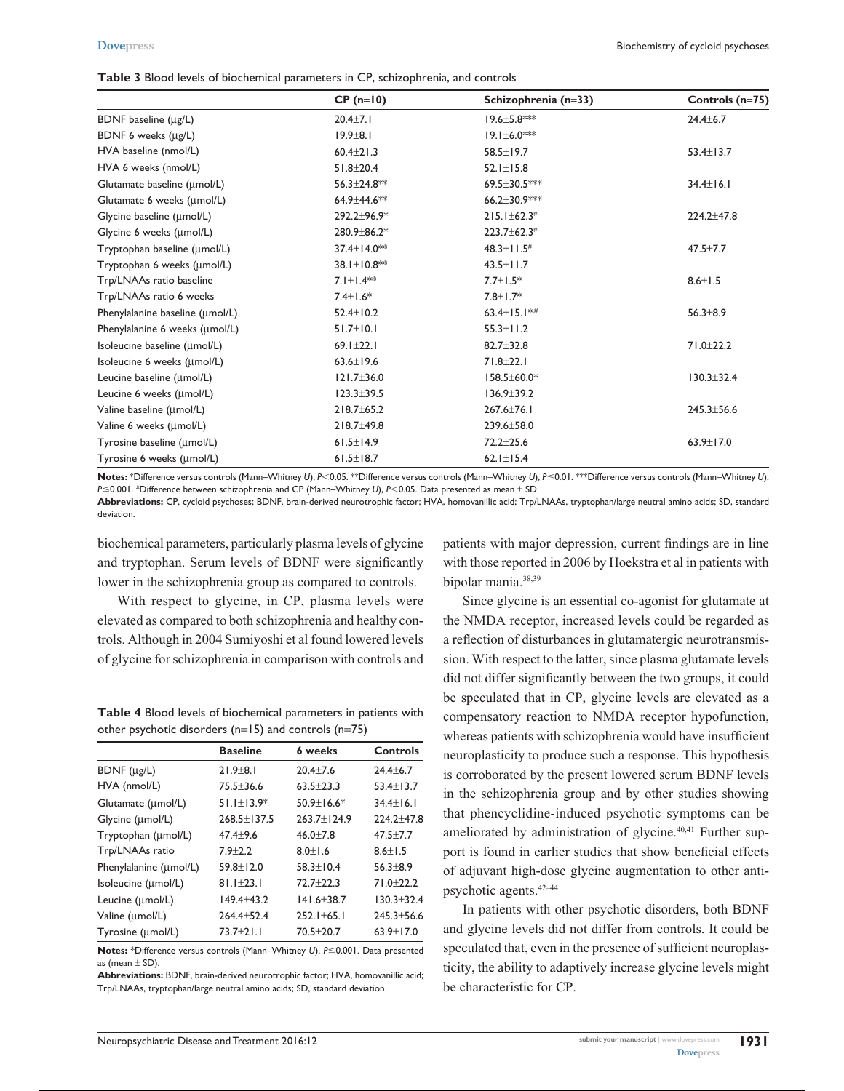#### **Table 3** Blood levels of biochemical parameters in CP, schizophrenia, and controls

|                                 | $CP(n=10)$       | Schizophrenia (n=33)         | Controls (n=75)  |
|---------------------------------|------------------|------------------------------|------------------|
| BDNF baseline (µg/L)            | $20.4 + 7.1$     | 19.6±5.8***                  | $24.4 \pm 6.7$   |
| BDNF 6 weeks (µg/L)             | $19.9 \pm 8.1$   | $19.1 \pm 6.0$ ***           |                  |
| HVA baseline (nmol/L)           | $60.4 \pm 21.3$  | $58.5 + 19.7$                | 53.4 $\pm$ 13.7  |
| HVA 6 weeks (nmol/L)            | $51.8 \pm 20.4$  | $52.1 \pm 15.8$              |                  |
| Glutamate baseline (µmol/L)     | 56.3±24.8**      | 69.5±30.5***                 | $34.4 \pm 16.1$  |
| Glutamate 6 weeks (µmol/L)      | 64.9±44.6**      | 66.2±30.9***                 |                  |
| Glycine baseline (µmol/L)       | 292.2±96.9*      | $215.1 \pm 62.3$ #           | 224.2±47.8       |
| Glycine 6 weeks (µmol/L)        | 280.9±86.2*      | $223.7 \pm 62.3$ #           |                  |
| Tryptophan baseline (µmol/L)    | 37.4±14.0**      | 48.3 $\pm$ 11.5 <sup>#</sup> | $47.5 \pm 7.7$   |
| Tryptophan 6 weeks (umol/L)     | 38.1±10.8**      | $43.5 \pm 11.7$              |                  |
| Trp/LNAAs ratio baseline        | $7.1 \pm 1.4**$  | $7.7 \pm 1.5*$               | $8.6 \pm 1.5$    |
| Trp/LNAAs ratio 6 weeks         | $7.4 \pm 1.6*$   | $7.8 \pm 1.7*$               |                  |
| Phenylalanine baseline (µmol/L) | $52.4 \pm 10.2$  | 63.4 $\pm$ 15.1 $**$         | $56.3 \pm 8.9$   |
| Phenylalanine 6 weeks (µmol/L)  | $51.7 \pm 10.1$  | $55.3 \pm 11.2$              |                  |
| Isoleucine baseline (µmol/L)    | 69.1±22.1        | 82.7±32.8                    | 71.0±22.2        |
| Isoleucine 6 weeks (µmol/L)     | $63.6 \pm 19.6$  | $71.8 + 22.1$                |                  |
| Leucine baseline (µmol/L)       | $121.7 \pm 36.0$ | $158.5 \pm 60.0*$            | $130.3 \pm 32.4$ |
| Leucine 6 weeks (µmol/L)        | $123.3 + 39.5$   | $136.9 \pm 39.2$             |                  |
| Valine baseline (µmol/L)        | $218.7 \pm 65.2$ | $267.6 \pm 76.1$             | $245.3 \pm 56.6$ |
| Valine 6 weeks (µmol/L)         | $218.7 + 49.8$   | 239.6±58.0                   |                  |
| Tyrosine baseline (µmol/L)      | $61.5 \pm 14.9$  | $72.2 \pm 25.6$              | $63.9 \pm 17.0$  |
| Tyrosine 6 weeks (µmol/L)       | $61.5 \pm 18.7$  | $62.1 \pm 15.4$              |                  |

**Notes:** \*Difference versus controls (Mann–Whitney *U*), *P*,0.05. \*\*Difference versus controls (Mann–Whitney *U*), *P*#0.01. \*\*\*Difference versus controls (Mann–Whitney *U*), *P*≤0.001. #Difference between schizophrenia and CP (Mann–Whitney *U*), *P*<0.05. Data presented as mean ± SD.

**Abbreviations:** CP, cycloid psychoses; BDNF, brain-derived neurotrophic factor; HVA, homovanillic acid; Trp/LNAAs, tryptophan/large neutral amino acids; SD, standard deviation.

biochemical parameters, particularly plasma levels of glycine and tryptophan. Serum levels of BDNF were significantly lower in the schizophrenia group as compared to controls.

With respect to glycine, in CP, plasma levels were elevated as compared to both schizophrenia and healthy controls. Although in 2004 Sumiyoshi et al found lowered levels of glycine for schizophrenia in comparison with controls and

**Table 4** Blood levels of biochemical parameters in patients with other psychotic disorders (n=15) and controls (n=75)

|                        | <b>Baseline</b>   | 6 weeks           | <b>Controls</b> |
|------------------------|-------------------|-------------------|-----------------|
| BDNF $(\mu g/L)$       | $21.9 + 8.1$      | $20.4 + 7.6$      | $24.4 + 6.7$    |
| HVA (nmol/L)           | $75.5 + 36.6$     | $63.5 + 23.3$     | $53.4 \pm 13.7$ |
| Glutamate (µmol/L)     | $51.1 \pm 13.9*$  | $50.9 \pm 16.6*$  | $34.4 \pm 16.1$ |
| Glycine (umol/L)       | $268.5 \pm 137.5$ | $263.7 \pm 124.9$ | $224.2 + 47.8$  |
| Tryptophan (µmol/L)    | $47.4 + 9.6$      | $46.0 + 7.8$      | $47.5 + 7.7$    |
| Trp/LNAAs ratio        | $7.9 + 2.2$       | $8.0 + 1.6$       | $8.6 \pm 1.5$   |
| Phenylalanine (umol/L) | $59.8 + 12.0$     | $58.3 \pm 10.4$   | $56.3 + 8.9$    |
| Isoleucine (µmol/L)    | $81.1 \pm 23.1$   | $72.7 + 22.3$     | $71.0 + 22.2$   |
| Leucine (umol/L)       | $149.4 + 43.2$    | $141.6 + 38.7$    | $130.3 + 32.4$  |
| Valine (µmol/L)        | $264.4 + 52.4$    | $252.1 + 65.1$    | $245.3 + 56.6$  |
| Tyrosine (µmol/L)      | $73.7 + 21.1$     | $70.5 + 20.7$     | $63.9 \pm 17.0$ |
|                        |                   |                   |                 |

**Notes:** \*Difference versus controls (Mann–Whitney *U*), *P*#0.001. Data presented as (mean  $\pm$  SD).

**Abbreviations:** BDNF, brain-derived neurotrophic factor; HVA, homovanillic acid; Trp/LNAAs, tryptophan/large neutral amino acids; SD, standard deviation.

patients with major depression, current findings are in line with those reported in 2006 by Hoekstra et al in patients with bipolar mania.<sup>38,39</sup>

Since glycine is an essential co-agonist for glutamate at the NMDA receptor, increased levels could be regarded as a reflection of disturbances in glutamatergic neurotransmission. With respect to the latter, since plasma glutamate levels did not differ significantly between the two groups, it could be speculated that in CP, glycine levels are elevated as a compensatory reaction to NMDA receptor hypofunction, whereas patients with schizophrenia would have insufficient neuroplasticity to produce such a response. This hypothesis is corroborated by the present lowered serum BDNF levels in the schizophrenia group and by other studies showing that phencyclidine-induced psychotic symptoms can be ameliorated by administration of glycine.40,41 Further support is found in earlier studies that show beneficial effects of adjuvant high-dose glycine augmentation to other antipsychotic agents.42–44

In patients with other psychotic disorders, both BDNF and glycine levels did not differ from controls. It could be speculated that, even in the presence of sufficient neuroplasticity, the ability to adaptively increase glycine levels might be characteristic for CP.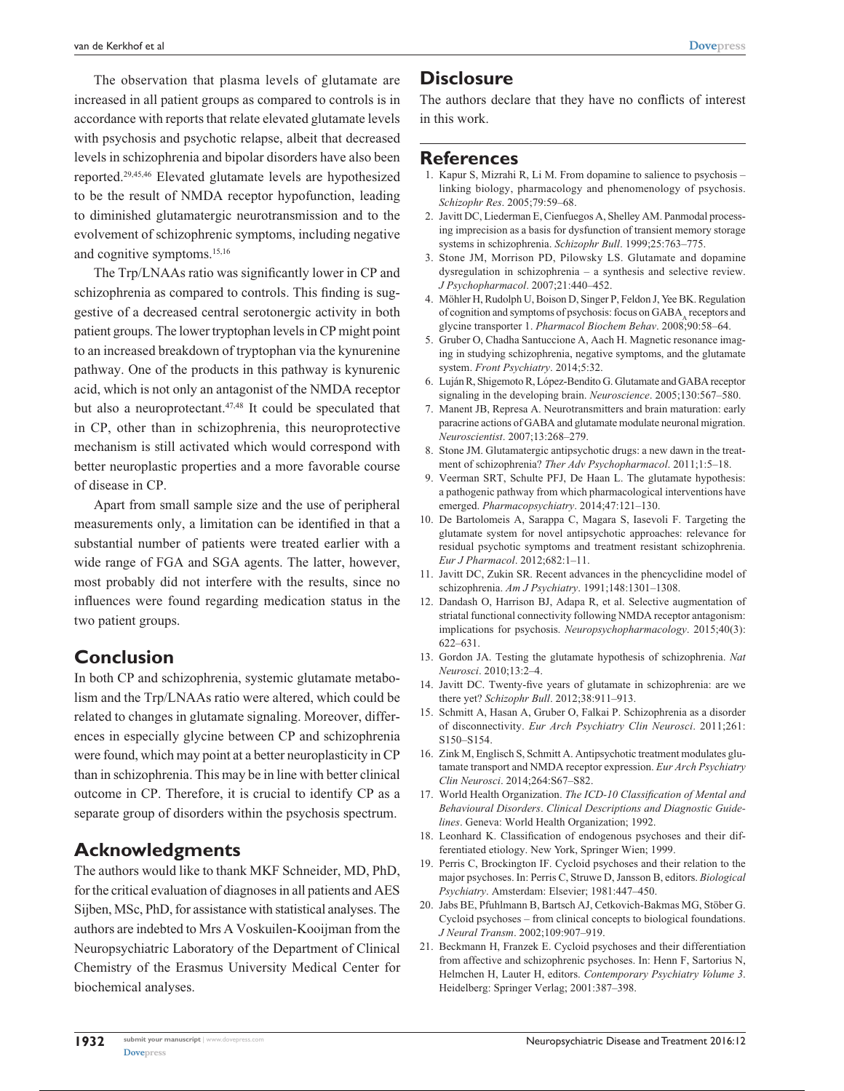The observation that plasma levels of glutamate are increased in all patient groups as compared to controls is in accordance with reports that relate elevated glutamate levels with psychosis and psychotic relapse, albeit that decreased levels in schizophrenia and bipolar disorders have also been reported.29,45,46 Elevated glutamate levels are hypothesized to be the result of NMDA receptor hypofunction, leading to diminished glutamatergic neurotransmission and to the evolvement of schizophrenic symptoms, including negative and cognitive symptoms.15,16

The Trp/LNAAs ratio was significantly lower in CP and schizophrenia as compared to controls. This finding is suggestive of a decreased central serotonergic activity in both patient groups. The lower tryptophan levels in CP might point to an increased breakdown of tryptophan via the kynurenine pathway. One of the products in this pathway is kynurenic acid, which is not only an antagonist of the NMDA receptor but also a neuroprotectant.<sup>47,48</sup> It could be speculated that in CP, other than in schizophrenia, this neuroprotective mechanism is still activated which would correspond with better neuroplastic properties and a more favorable course of disease in CP.

Apart from small sample size and the use of peripheral measurements only, a limitation can be identified in that a substantial number of patients were treated earlier with a wide range of FGA and SGA agents. The latter, however, most probably did not interfere with the results, since no influences were found regarding medication status in the two patient groups.

## **Conclusion**

In both CP and schizophrenia, systemic glutamate metabolism and the Trp/LNAAs ratio were altered, which could be related to changes in glutamate signaling. Moreover, differences in especially glycine between CP and schizophrenia were found, which may point at a better neuroplasticity in CP than in schizophrenia. This may be in line with better clinical outcome in CP. Therefore, it is crucial to identify CP as a separate group of disorders within the psychosis spectrum.

## **Acknowledgments**

The authors would like to thank MKF Schneider, MD, PhD, for the critical evaluation of diagnoses in all patients and AES Sijben, MSc, PhD, for assistance with statistical analyses. The authors are indebted to Mrs A Voskuilen-Kooijman from the Neuropsychiatric Laboratory of the Department of Clinical Chemistry of the Erasmus University Medical Center for biochemical analyses.

## **Disclosure**

The authors declare that they have no conflicts of interest in this work.

### **References**

- 1. Kapur S, Mizrahi R, Li M. From dopamine to salience to psychosis linking biology, pharmacology and phenomenology of psychosis. *Schizophr Res*. 2005;79:59–68.
- 2. Javitt DC, Liederman E, Cienfuegos A, Shelley AM. Panmodal processing imprecision as a basis for dysfunction of transient memory storage systems in schizophrenia. *Schizophr Bull*. 1999;25:763–775.
- 3. Stone JM, Morrison PD, Pilowsky LS. Glutamate and dopamine dysregulation in schizophrenia – a synthesis and selective review. *J Psychopharmacol*. 2007;21:440–452.
- 4. Möhler H, Rudolph U, Boison D, Singer P, Feldon J, Yee BK. Regulation of cognition and symptoms of psychosis: focus on GABA, receptors and glycine transporter 1. *Pharmacol Biochem Behav*. 2008;90:58–64.
- 5. Gruber O, Chadha Santuccione A, Aach H. Magnetic resonance imaging in studying schizophrenia, negative symptoms, and the glutamate system. *Front Psychiatry*. 2014;5:32.
- 6. Luján R, Shigemoto R, López-Bendito G. Glutamate and GABA receptor signaling in the developing brain. *Neuroscience*. 2005;130:567–580.
- 7. Manent JB, Represa A. Neurotransmitters and brain maturation: early paracrine actions of GABA and glutamate modulate neuronal migration. *Neuroscientist*. 2007;13:268–279.
- 8. Stone JM. Glutamatergic antipsychotic drugs: a new dawn in the treatment of schizophrenia? *Ther Adv Psychopharmacol*. 2011;1:5–18.
- 9. Veerman SRT, Schulte PFJ, De Haan L. The glutamate hypothesis: a pathogenic pathway from which pharmacological interventions have emerged. *Pharmacopsychiatry*. 2014;47:121–130.
- 10. De Bartolomeis A, Sarappa C, Magara S, Iasevoli F. Targeting the glutamate system for novel antipsychotic approaches: relevance for residual psychotic symptoms and treatment resistant schizophrenia. *Eur J Pharmacol*. 2012;682:1–11.
- 11. Javitt DC, Zukin SR. Recent advances in the phencyclidine model of schizophrenia. *Am J Psychiatry*. 1991;148:1301–1308.
- 12. Dandash O, Harrison BJ, Adapa R, et al. Selective augmentation of striatal functional connectivity following NMDA receptor antagonism: implications for psychosis. *Neuropsychopharmacology*. 2015;40(3): 622–631.
- 13. Gordon JA. Testing the glutamate hypothesis of schizophrenia. *Nat Neurosci*. 2010;13:2–4.
- 14. Javitt DC. Twenty-five years of glutamate in schizophrenia: are we there yet? *Schizophr Bull*. 2012;38:911–913.
- 15. Schmitt A, Hasan A, Gruber O, Falkai P. Schizophrenia as a disorder of disconnectivity. *Eur Arch Psychiatry Clin Neurosci*. 2011;261: S150–S154.
- 16. Zink M, Englisch S, Schmitt A. Antipsychotic treatment modulates glutamate transport and NMDA receptor expression. *Eur Arch Psychiatry Clin Neurosci*. 2014;264:S67–S82.
- 17. World Health Organization. *The ICD-10 Classification of Mental and Behavioural Disorders*. *Clinical Descriptions and Diagnostic Guidelines*. Geneva: World Health Organization; 1992.
- 18. Leonhard K. Classification of endogenous psychoses and their differentiated etiology. New York, Springer Wien; 1999.
- 19. Perris C, Brockington IF. Cycloid psychoses and their relation to the major psychoses. In: Perris C, Struwe D, Jansson B, editors. *Biological Psychiatry*. Amsterdam: Elsevier; 1981:447–450.
- 20. Jabs BE, Pfuhlmann B, Bartsch AJ, Cetkovich-Bakmas MG, Stöber G. Cycloid psychoses – from clinical concepts to biological foundations. *J Neural Transm*. 2002;109:907–919.
- 21. Beckmann H, Franzek E. Cycloid psychoses and their differentiation from affective and schizophrenic psychoses. In: Henn F, Sartorius N, Helmchen H, Lauter H, editors. *Contemporary Psychiatry Volume 3*. Heidelberg: Springer Verlag; 2001:387–398.